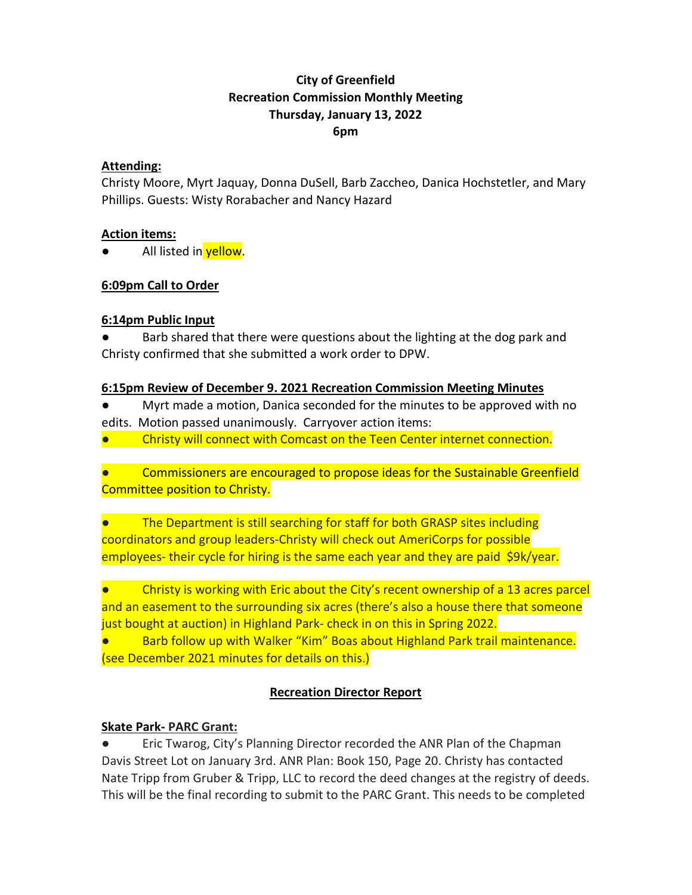# **City of Greenfield Recreation Commission Monthly Meeting Thursday, January 13, 2022 6pm**

#### **Attending:**

Christy Moore, Myrt Jaquay, Donna DuSell, Barb Zaccheo, Danica Hochstetler, and Mary Phillips. Guests: Wisty Rorabacher and Nancy Hazard

#### **Action items:**

All listed in yellow.

# **6:09pm Call to Order**

# **6:14pm Public Input**

Barb shared that there were questions about the lighting at the dog park and Christy confirmed that she submitted a work order to DPW.

# **6:15pm Review of December 9. 2021 Recreation Commission Meeting Minutes**

Myrt made a motion, Danica seconded for the minutes to be approved with no edits. Motion passed unanimously. Carryover action items:

Christy will connect with Comcast on the Teen Center internet connection.

Commissioners are encouraged to propose ideas for the Sustainable Greenfield Committee position to Christy.

The Department is still searching for staff for both GRASP sites including coordinators and group leaders-Christy will check out AmeriCorps for possible employees- their cycle for hiring is the same each year and they are paid \$9k/year.

Christy is working with Eric about the City's recent ownership of a 13 acres parcel and an easement to the surrounding six acres (there's also a house there that someone just bought at auction) in Highland Park- check in on this in Spring 2022.

● Barb follow up with Walker "Kim" Boas about Highland Park trail maintenance. (see December 2021 minutes for details on this.)

# **Recreation Director Report**

# **Skate Park- PARC Grant:**

● Eric Twarog, City's Planning Director recorded the ANR Plan of the Chapman Davis Street Lot on January 3rd. ANR Plan: Book 150, Page 20. Christy has contacted Nate Tripp from Gruber & Tripp, LLC to record the deed changes at the registry of deeds. This will be the final recording to submit to the PARC Grant. This needs to be completed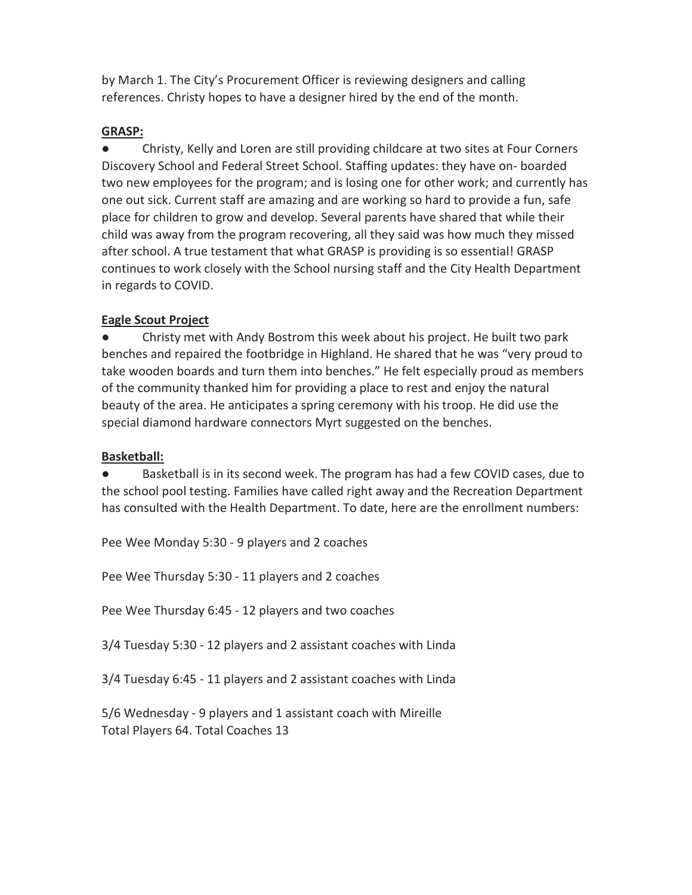by March 1. The City's Procurement Officer is reviewing designers and calling references. Christy hopes to have a designer hired by the end of the month.

# **GRASP:**

Christy, Kelly and Loren are still providing childcare at two sites at Four Corners Discovery School and Federal Street School. Staffing updates: they have on- boarded two new employees for the program; and is losing one for other work; and currently has one out sick. Current staff are amazing and are working so hard to provide a fun, safe place for children to grow and develop. Several parents have shared that while their child was away from the program recovering, all they said was how much they missed after school. A true testament that what GRASP is providing is so essential! GRASP continues to work closely with the School nursing staff and the City Health Department in regards to COVID.

# **Eagle Scout Project**

Christy met with Andy Bostrom this week about his project. He built two park benches and repaired the footbridge in Highland. He shared that he was "very proud to take wooden boards and turn them into benches." He felt especially proud as members of the community thanked him for providing a place to rest and enjoy the natural beauty of the area. He anticipates a spring ceremony with his troop. He did use the special diamond hardware connectors Myrt suggested on the benches.

# **Basketball:**

● Basketball is in its second week. The program has had a few COVID cases, due to the school pool testing. Families have called right away and the Recreation Department has consulted with the Health Department. To date, here are the enrollment numbers:

Pee Wee Monday 5:30 - 9 players and 2 coaches

Pee Wee Thursday 5:30 - 11 players and 2 coaches

Pee Wee Thursday 6:45 - 12 players and two coaches

3/4 Tuesday 5:30 - 12 players and 2 assistant coaches with Linda

3/4 Tuesday 6:45 - 11 players and 2 assistant coaches with Linda

5/6 Wednesday - 9 players and 1 assistant coach with Mireille Total Players 64. Total Coaches 13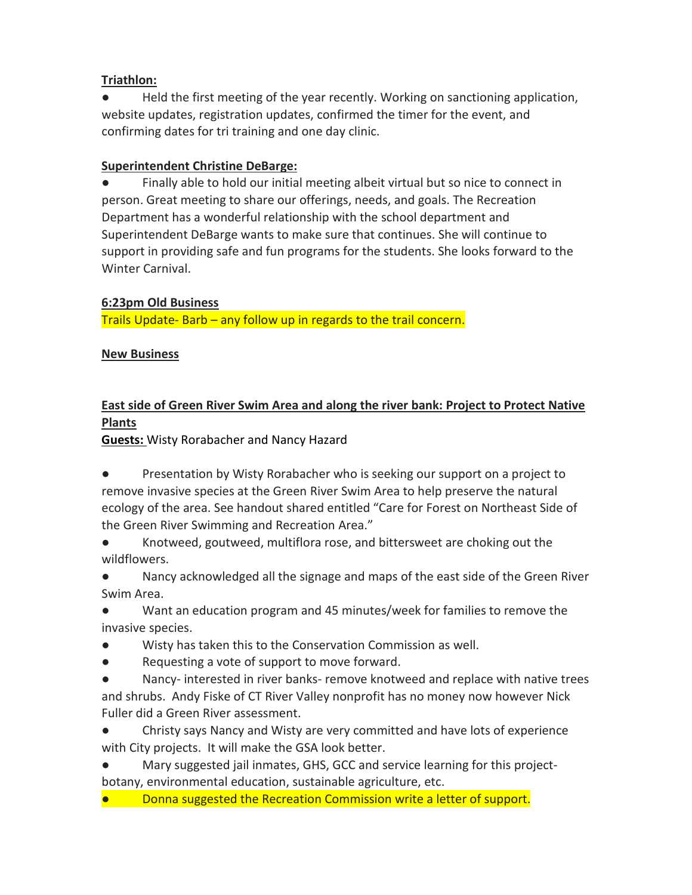# **Triathlon:**

● Held the first meeting of the year recently. Working on sanctioning application, website updates, registration updates, confirmed the timer for the event, and confirming dates for tri training and one day clinic.

# **Superintendent Christine DeBarge:**

● Finally able to hold our initial meeting albeit virtual but so nice to connect in person. Great meeting to share our offerings, needs, and goals. The Recreation Department has a wonderful relationship with the school department and Superintendent DeBarge wants to make sure that continues. She will continue to support in providing safe and fun programs for the students. She looks forward to the Winter Carnival.

# **6:23pm Old Business**

Trails Update- Barb – any follow up in regards to the trail concern.

# **New Business**

# **East side of Green River Swim Area and along the river bank: Project to Protect Native Plants**

**Guests:** Wisty Rorabacher and Nancy Hazard

Presentation by Wisty Rorabacher who is seeking our support on a project to remove invasive species at the Green River Swim Area to help preserve the natural ecology of the area. See handout shared entitled "Care for Forest on Northeast Side of the Green River Swimming and Recreation Area."

Knotweed, goutweed, multiflora rose, and bittersweet are choking out the wildflowers.

● Nancy acknowledged all the signage and maps of the east side of the Green River Swim Area.

● Want an education program and 45 minutes/week for families to remove the invasive species.

- Wisty has taken this to the Conservation Commission as well.
- Requesting a vote of support to move forward.

● Nancy- interested in river banks- remove knotweed and replace with native trees and shrubs. Andy Fiske of CT River Valley nonprofit has no money now however Nick Fuller did a Green River assessment.

Christy says Nancy and Wisty are very committed and have lots of experience with City projects. It will make the GSA look better.

● Mary suggested jail inmates, GHS, GCC and service learning for this projectbotany, environmental education, sustainable agriculture, etc.

Donna suggested the Recreation Commission write a letter of support.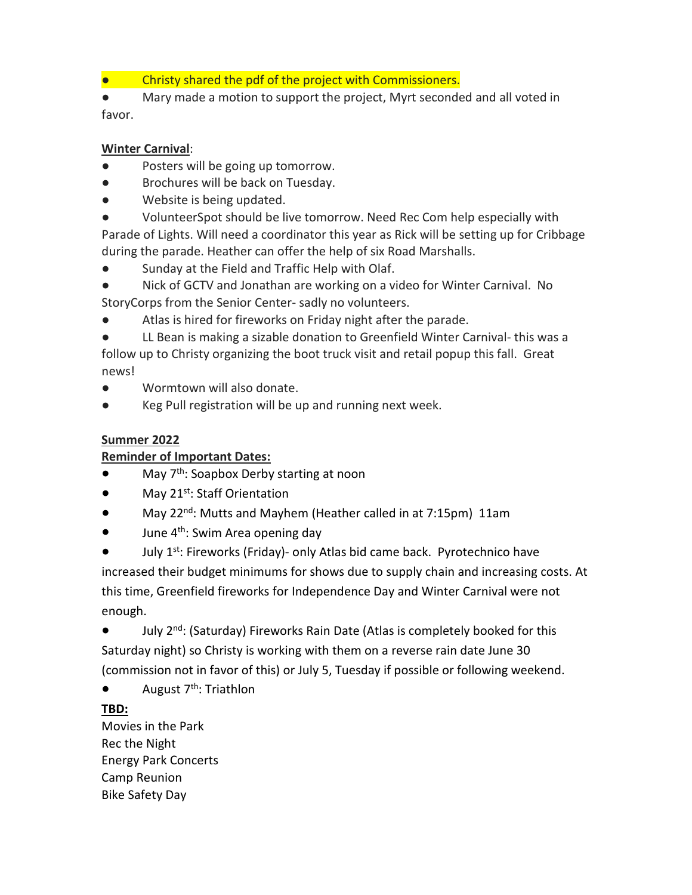● Christy shared the pdf of the project with Commissioners.

● Mary made a motion to support the project, Myrt seconded and all voted in favor.

#### **Winter Carnival**:

- Posters will be going up tomorrow.
- Brochures will be back on Tuesday.
- Website is being updated.
- VolunteerSpot should be live tomorrow. Need Rec Com help especially with

Parade of Lights. Will need a coordinator this year as Rick will be setting up for Cribbage during the parade. Heather can offer the help of six Road Marshalls.

● Sunday at the Field and Traffic Help with Olaf.

Nick of GCTV and Jonathan are working on a video for Winter Carnival. No StoryCorps from the Senior Center- sadly no volunteers.

Atlas is hired for fireworks on Friday night after the parade.

LL Bean is making a sizable donation to Greenfield Winter Carnival- this was a follow up to Christy organizing the boot truck visit and retail popup this fall. Great news!

- Wormtown will also donate.
- Keg Pull registration will be up and running next week.

# **Summer 2022**

# **Reminder of Important Dates:**

- $\bullet$  May  $7<sup>th</sup>$ : Soapbox Derby starting at noon
- May 21<sup>st</sup>: Staff Orientation
- May 22<sup>nd</sup>: Mutts and Mayhem (Heather called in at 7:15pm) 11am
- $\bullet$  June 4<sup>th</sup>: Swim Area opening day

July 1<sup>st</sup>: Fireworks (Friday)- only Atlas bid came back. Pyrotechnico have increased their budget minimums for shows due to supply chain and increasing costs. At this time, Greenfield fireworks for Independence Day and Winter Carnival were not enough.

● July 2<sup>nd</sup>: (Saturday) Fireworks Rain Date (Atlas is completely booked for this Saturday night) so Christy is working with them on a reverse rain date June 30 (commission not in favor of this) or July 5, Tuesday if possible or following weekend.

 $\bullet$  August 7<sup>th</sup>: Triathlon

# **TBD:**

Movies in the Park Rec the Night Energy Park Concerts Camp Reunion Bike Safety Day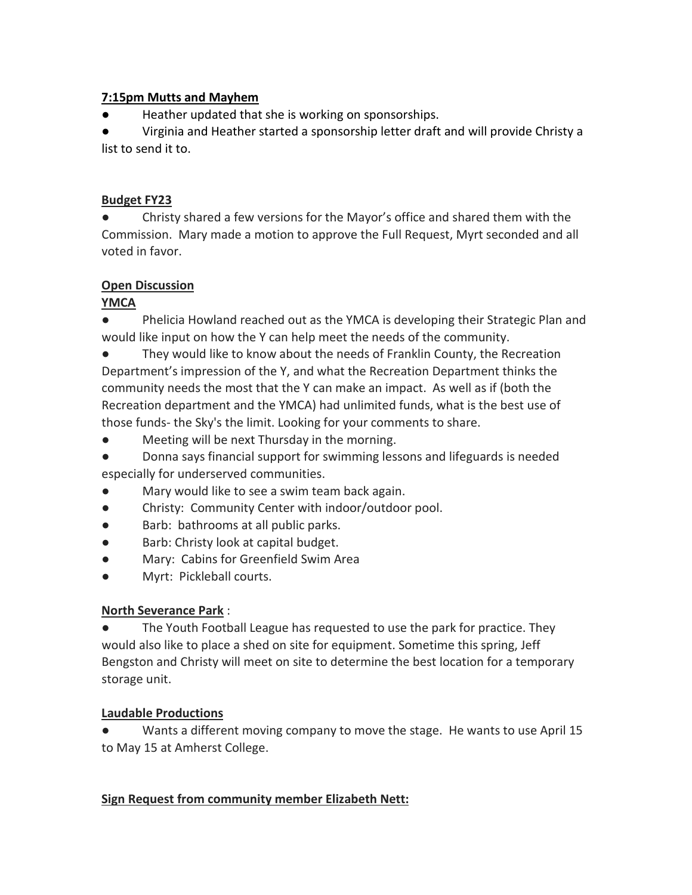### **7:15pm Mutts and Mayhem**

● Heather updated that she is working on sponsorships.

● Virginia and Heather started a sponsorship letter draft and will provide Christy a list to send it to.

### **Budget FY23**

● Christy shared a few versions for the Mayor's office and shared them with the Commission. Mary made a motion to approve the Full Request, Myrt seconded and all voted in favor.

# **Open Discussion**

# **YMCA**

Phelicia Howland reached out as the YMCA is developing their Strategic Plan and would like input on how the Y can help meet the needs of the community.

● They would like to know about the needs of Franklin County, the Recreation Department's impression of the Y, and what the Recreation Department thinks the community needs the most that the Y can make an impact. As well as if (both the Recreation department and the YMCA) had unlimited funds, what is the best use of those funds- the Sky's the limit. Looking for your comments to share.

● Meeting will be next Thursday in the morning.

Donna says financial support for swimming lessons and lifeguards is needed especially for underserved communities.

- Mary would like to see a swim team back again.
- Christy: Community Center with indoor/outdoor pool.
- Barb: bathrooms at all public parks.
- Barb: Christy look at capital budget.
- Mary: Cabins for Greenfield Swim Area
- Myrt: Pickleball courts.

# **North Severance Park** :

● The Youth Football League has requested to use the park for practice. They would also like to place a shed on site for equipment. Sometime this spring, Jeff Bengston and Christy will meet on site to determine the best location for a temporary storage unit.

# **Laudable Productions**

Wants a different moving company to move the stage. He wants to use April 15 to May 15 at Amherst College.

# **Sign Request from community member Elizabeth Nett:**